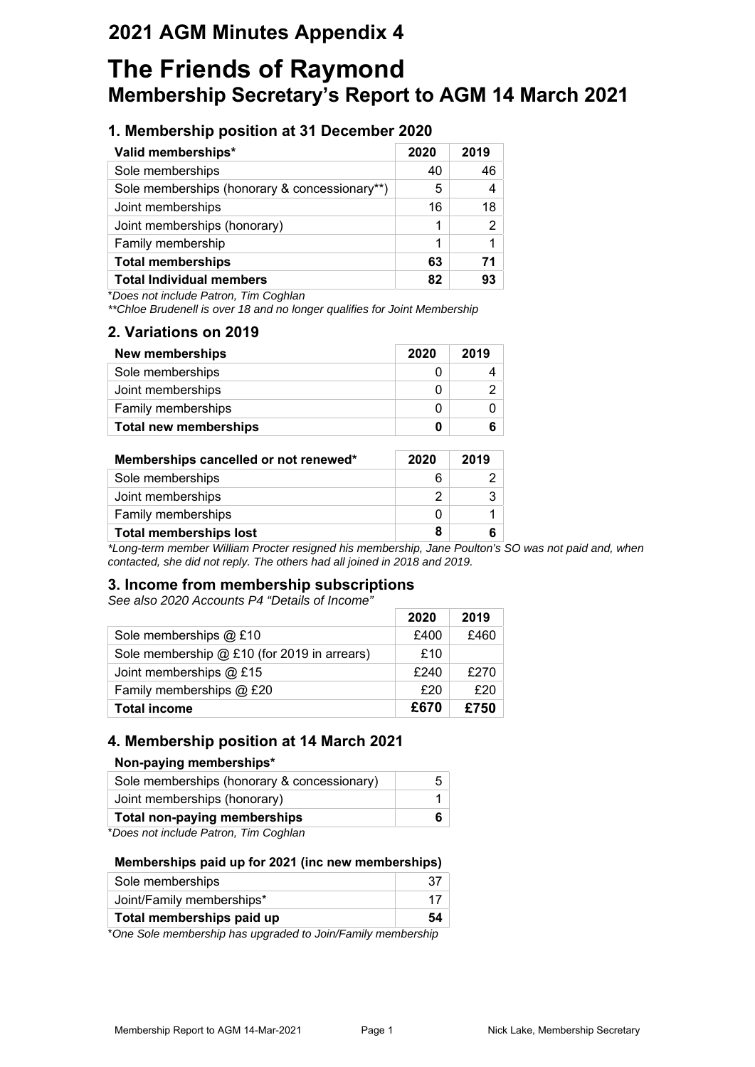## **2021 AGM Minutes Appendix 4**

# **The Friends of Raymond Membership Secretary's Report to AGM 14 March 2021**

## **1. Membership position at 31 December 2020**

| Valid memberships*                            | 2020 | 2019 |
|-----------------------------------------------|------|------|
| Sole memberships                              | 40   | 46   |
| Sole memberships (honorary & concessionary**) | 5    |      |
| Joint memberships                             | 16   | 18   |
| Joint memberships (honorary)                  | 1    | 2    |
| Family membership                             | 1    |      |
| <b>Total memberships</b>                      | 63   | 71   |
| <b>Total Individual members</b>               | 82   | 93   |

\**Does not include Patron, Tim Coghlan*

*\*\*Chloe Brudenell is over 18 and no longer qualifies for Joint Membership*

## **2. Variations on 2019**

| <b>New memberships</b>       | 2020 | 2019 |
|------------------------------|------|------|
| Sole memberships             |      |      |
| Joint memberships            |      |      |
| Family memberships           |      |      |
| <b>Total new memberships</b> |      |      |

| Memberships cancelled or not renewed* | 2020 | 2019 |
|---------------------------------------|------|------|
| Sole memberships                      |      |      |
| Joint memberships                     |      |      |
| Family memberships                    |      |      |
| <b>Total memberships lost</b>         | 8    |      |

*\*Long-term member William Procter resigned his membership, Jane Poulton's SO was not paid and, when contacted, she did not reply. The others had all joined in 2018 and 2019.*

## **3. Income from membership subscriptions**

*See also 2020 Accounts P4 "Details of Income"*

|                                             | 2020 | 2019 |
|---------------------------------------------|------|------|
| Sole memberships @ £10                      | £400 | £460 |
| Sole membership @ £10 (for 2019 in arrears) | £10  |      |
| Joint memberships @ £15                     | £240 | £270 |
| Family memberships @ £20                    | £20  | £20  |
| <b>Total income</b>                         | £670 | £750 |

## **4. Membership position at 14 March 2021**

#### **Non-paying memberships\***

| . .                                         |  |
|---------------------------------------------|--|
| <b>Total non-paying memberships</b>         |  |
| Joint memberships (honorary)                |  |
| Sole memberships (honorary & concessionary) |  |
|                                             |  |

\**Does not include Patron, Tim Coghlan*

#### **Memberships paid up for 2021 (inc new memberships)**

| Total memberships paid up | 54 |
|---------------------------|----|
| Joint/Family memberships* |    |
| Sole memberships          |    |

\**One Sole membership has upgraded to Join/Family membership*